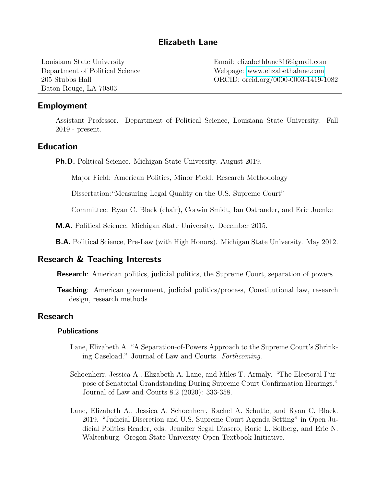## Elizabeth Lane

Baton Rouge, LA 70803

Louisiana State University Email: elizabethlane316@gmail.com Department of Political Science Webpage: <www.elizabethalane.com> 205 Stubbs Hall ORCID: orcid.org/0000-0003-1419-1082

### Employment

Assistant Professor. Department of Political Science, Louisiana State University. Fall 2019 - present.

## Education

Ph.D. Political Science. Michigan State University. August 2019.

Major Field: American Politics, Minor Field: Research Methodology

Dissertation:"Measuring Legal Quality on the U.S. Supreme Court"

Committee: Ryan C. Black (chair), Corwin Smidt, Ian Ostrander, and Eric Juenke

M.A. Political Science. Michigan State University. December 2015.

B.A. Political Science, Pre-Law (with High Honors). Michigan State University. May 2012.

### Research & Teaching Interests

Research: American politics, judicial politics, the Supreme Court, separation of powers

**Teaching:** American government, judicial politics/process, Constitutional law, research design, research methods

## Research

### Publications

- Lane, Elizabeth A. "A Separation-of-Powers Approach to the Supreme Court's Shrinking Caseload." Journal of Law and Courts. Forthcoming.
- Schoenherr, Jessica A., Elizabeth A. Lane, and Miles T. Armaly. "The Electoral Purpose of Senatorial Grandstanding During Supreme Court Confirmation Hearings." Journal of Law and Courts 8.2 (2020): 333-358.
- Lane, Elizabeth A., Jessica A. Schoenherr, Rachel A. Schutte, and Ryan C. Black. 2019. "Judicial Discretion and U.S. Supreme Court Agenda Setting" in Open Judicial Politics Reader, eds. Jennifer Segal Diascro, Rorie L. Solberg, and Eric N. Waltenburg. Oregon State University Open Textbook Initiative.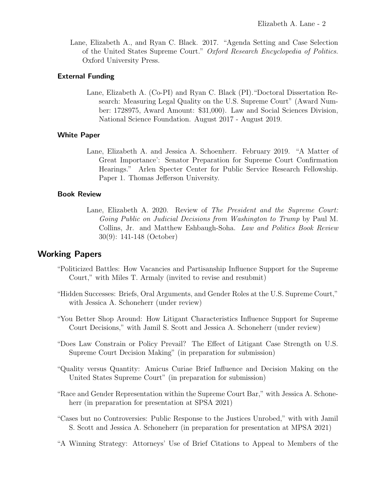Lane, Elizabeth A., and Ryan C. Black. 2017. "Agenda Setting and Case Selection of the United States Supreme Court." Oxford Research Encyclopedia of Politics. Oxford University Press.

### External Funding

Lane, Elizabeth A. (Co-PI) and Ryan C. Black (PI)."Doctoral Dissertation Research: Measuring Legal Quality on the U.S. Supreme Court" (Award Number: 1728975, Award Amount: \$31,000). Law and Social Sciences Division, National Science Foundation. August 2017 - August 2019.

### White Paper

Lane, Elizabeth A. and Jessica A. Schoenherr. February 2019. "A Matter of Great Importance': Senator Preparation for Supreme Court Confirmation Hearings." Arlen Specter Center for Public Service Research Fellowship. Paper 1. Thomas Jefferson University.

### Book Review

Lane, Elizabeth A. 2020. Review of The President and the Supreme Court: Going Public on Judicial Decisions from Washington to Trump by Paul M. Collins, Jr. and Matthew Eshbaugh-Soha. Law and Politics Book Review 30(9): 141-148 (October)

## Working Papers

- "Politicized Battles: How Vacancies and Partisanship Influence Support for the Supreme Court," with Miles T. Armaly (invited to revise and resubmit)
- "Hidden Successes: Briefs, Oral Arguments, and Gender Roles at the U.S. Supreme Court," with Jessica A. Schoneherr (under review)
- "You Better Shop Around: How Litigant Characteristics Influence Support for Supreme Court Decisions," with Jamil S. Scott and Jessica A. Schoneherr (under review)
- "Does Law Constrain or Policy Prevail? The Effect of Litigant Case Strength on U.S. Supreme Court Decision Making" (in preparation for submission)
- "Quality versus Quantity: Amicus Curiae Brief Influence and Decision Making on the United States Supreme Court" (in preparation for submission)
- "Race and Gender Representation within the Supreme Court Bar," with Jessica A. Schoneherr (in preparation for presentation at SPSA 2021)
- "Cases but no Controversies: Public Response to the Justices Unrobed," with with Jamil S. Scott and Jessica A. Schoneherr (in preparation for presentation at MPSA 2021)
- "A Winning Strategy: Attorneys' Use of Brief Citations to Appeal to Members of the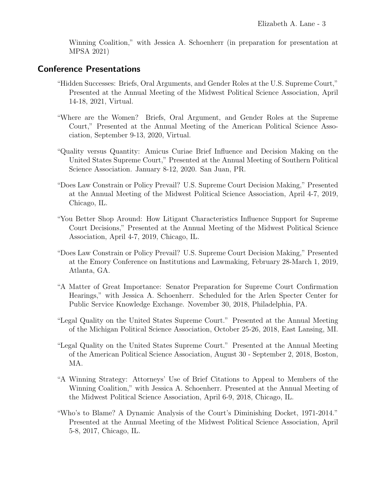Winning Coalition," with Jessica A. Schoenherr (in preparation for presentation at MPSA 2021)

## Conference Presentations

- "Hidden Successes: Briefs, Oral Arguments, and Gender Roles at the U.S. Supreme Court," Presented at the Annual Meeting of the Midwest Political Science Association, April 14-18, 2021, Virtual.
- "Where are the Women? Briefs, Oral Argument, and Gender Roles at the Supreme Court," Presented at the Annual Meeting of the American Political Science Association, September 9-13, 2020, Virtual.
- "Quality versus Quantity: Amicus Curiae Brief Influence and Decision Making on the United States Supreme Court," Presented at the Annual Meeting of Southern Political Science Association. January 8-12, 2020. San Juan, PR.
- "Does Law Constrain or Policy Prevail? U.S. Supreme Court Decision Making," Presented at the Annual Meeting of the Midwest Political Science Association, April 4-7, 2019, Chicago, IL.
- "You Better Shop Around: How Litigant Characteristics Influence Support for Supreme Court Decisions," Presented at the Annual Meeting of the Midwest Political Science Association, April 4-7, 2019, Chicago, IL.
- "Does Law Constrain or Policy Prevail? U.S. Supreme Court Decision Making," Presented at the Emory Conference on Institutions and Lawmaking, February 28-March 1, 2019, Atlanta, GA.
- "A Matter of Great Importance: Senator Preparation for Supreme Court Confirmation Hearings," with Jessica A. Schoenherr. Scheduled for the Arlen Specter Center for Public Service Knowledge Exchange. November 30, 2018, Philadelphia, PA.
- "Legal Quality on the United States Supreme Court." Presented at the Annual Meeting of the Michigan Political Science Association, October 25-26, 2018, East Lansing, MI.
- "Legal Quality on the United States Supreme Court." Presented at the Annual Meeting of the American Political Science Association, August 30 - September 2, 2018, Boston, MA.
- "A Winning Strategy: Attorneys' Use of Brief Citations to Appeal to Members of the Winning Coalition," with Jessica A. Schoenherr. Presented at the Annual Meeting of the Midwest Political Science Association, April 6-9, 2018, Chicago, IL.
- "Who's to Blame? A Dynamic Analysis of the Court's Diminishing Docket, 1971-2014." Presented at the Annual Meeting of the Midwest Political Science Association, April 5-8, 2017, Chicago, IL.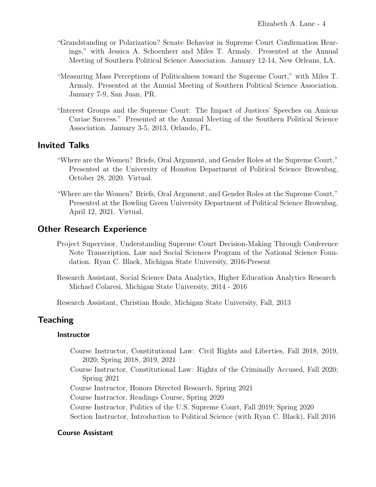- "Grandstanding or Polarization? Senate Behavior in Supreme Court Confirmation Hearings," with Jessica A. Schoenherr and Miles T. Armaly. Presented at the Annual Meeting of Southern Political Science Association. January 12-14, New Orleans, LA.
- "Measuring Mass Perceptions of Politicalness toward the Supreme Court," with Miles T. Armaly. Presented at the Annual Meeting of Southern Political Science Association. January 7-9, San Juan, PR.
- "Interest Groups and the Supreme Court: The Impact of Justices' Speeches on Amicus Curiae Success." Presented at the Annual Meeting of the Southern Political Science Association. January 3-5, 2013, Orlando, FL.

## Invited Talks

- "Where are the Women? Briefs, Oral Argument, and Gender Roles at the Supreme Court," Presented at the University of Houston Department of Political Science Brownbag, October 28, 2020. Virtual.
- "Where are the Women? Briefs, Oral Argument, and Gender Roles at the Supreme Court," Presented at the Bowling Green University Department of Political Science Brownbag, April 12, 2021. Virtual.

## Other Research Experience

- Project Supervisor, Understanding Supreme Court Decision-Making Through Conference Note Transcription, Law and Social Sciences Program of the National Science Foundation. Ryan C. Black, Michigan State University, 2016-Present
- Research Assistant, Social Science Data Analytics, Higher Education Analytics Research Michael Colaresi, Michigan State University, 2014 - 2016

Research Assistant, Christian Houle, Michigan State University, Fall, 2013

## **Teaching**

### **Instructor**

- Course Instructor, Constitutional Law: Civil Rights and Liberties, Fall 2018, 2019, 2020; Spring 2018, 2019, 2021
- Course Instructor, Constitutional Law: Rights of the Criminally Accused, Fall 2020; Spring 2021
- Course Instructor, Honors Directed Research, Spring 2021
- Course Instructor, Readings Course, Spring 2020
- Course Instructor, Politics of the U.S. Supreme Court, Fall 2019; Spring 2020
- Section Instructor, Introduction to Political Science (with Ryan C. Black), Fall 2016

### Course Assistant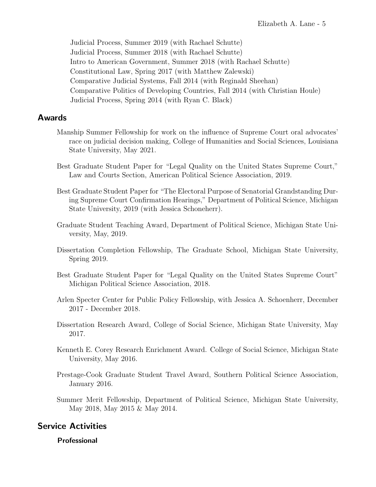Judicial Process, Summer 2019 (with Rachael Schutte) Judicial Process, Summer 2018 (with Rachael Schutte) Intro to American Government, Summer 2018 (with Rachael Schutte) Constitutional Law, Spring 2017 (with Matthew Zalewski) Comparative Judicial Systems, Fall 2014 (with Reginald Sheehan) Comparative Politics of Developing Countries, Fall 2014 (with Christian Houle) Judicial Process, Spring 2014 (with Ryan C. Black)

## Awards

- Manship Summer Fellowship for work on the influence of Supreme Court oral advocates' race on judicial decision making, College of Humanities and Social Sciences, Louisiana State University, May 2021.
- Best Graduate Student Paper for "Legal Quality on the United States Supreme Court," Law and Courts Section, American Political Science Association, 2019.
- Best Graduate Student Paper for "The Electoral Purpose of Senatorial Grandstanding During Supreme Court Confirmation Hearings," Department of Political Science, Michigan State University, 2019 (with Jessica Schoneherr).
- Graduate Student Teaching Award, Department of Political Science, Michigan State University, May, 2019.
- Dissertation Completion Fellowship, The Graduate School, Michigan State University, Spring 2019.
- Best Graduate Student Paper for "Legal Quality on the United States Supreme Court" Michigan Political Science Association, 2018.
- Arlen Specter Center for Public Policy Fellowship, with Jessica A. Schoenherr, December 2017 - December 2018.
- Dissertation Research Award, College of Social Science, Michigan State University, May 2017.
- Kenneth E. Corey Research Enrichment Award. College of Social Science, Michigan State University, May 2016.
- Prestage-Cook Graduate Student Travel Award, Southern Political Science Association, January 2016.
- Summer Merit Fellowship, Department of Political Science, Michigan State University, May 2018, May 2015 & May 2014.

# Service Activities

## Professional